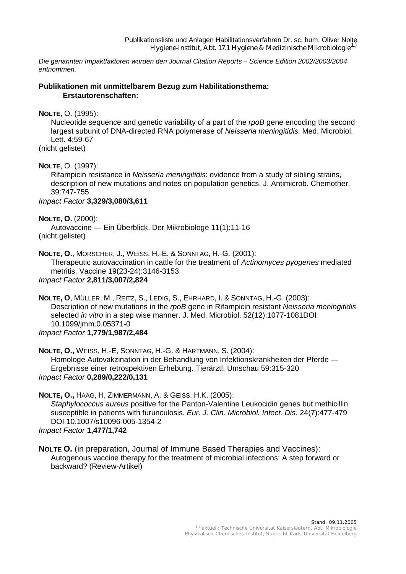*Die genannten Impaktfaktoren wurden den Journal Citation Reports – Science Edition 2002/2003/2004 entnommen.* 

### **Publikationen mit unmittelbarem Bezug zum Habilitationsthema: Erstautorenschaften:**

**NOLTE**, O. (1995):

Nucleotide sequence and genetic variability of a part of the *rpoB* gene encoding the second largest subunit of DNA-directed RNA polymerase of *Neisseria meningitidis*. Med. Microbiol. Lett. 4:59-67

(nicht gelistet)

**NOLTE**, O. (1997):

Rifampicin resistance in *Neisseria meningitidis*: evidence from a study of sibling strains, description of new mutations and notes on population genetics. J. Antimicrob. Chemother. 39:747-755

*Impact Factor* **3,329/3,080/3,611**

**NOLTE, O.** (2000):

Autovaccine — Ein Überblick. Der Mikrobiologe 11(1):11-16 (nicht gelistet)

**NOLTE, O.**, MORSCHER, J., WEISS, H.-E. & SONNTAG, H.-G. (2001): Therapeutic autovaccination in cattle for the treatment of *Actinomyces pyogenes* mediated metritis. Vaccine 19(23-24):3146-3153

*Impact Factor* **2,811/3,007/2,824**

**NOLTE, O**, MÜLLER, M., REITZ, S., LEDIG, S., EHRHARD, I. & SONNTAG, H.-G. (2003): Description of new mutations in the *rpoB* gene in Rifampicin resistant *Neisseria meningitidis* selected *in vitro* in a step wise manner. J. Med. Microbiol. 52(12):1077-1081DOI 10.1099/jmm.0.05371-0

*Impact Factor* **1,779/1,987/2,484**

**NOLTE, O.,** WEISS, H.-E, SONNTAG, H.-G. & HARTMANN, S. (2004): Homologe Autovakzination in der Behandlung von Infektionskrankheiten der Pferde — Ergebnisse einer retrospektiven Erhebung. Tierärztl. Umschau 59:315-320 *Impact Factor* **0,289/0,222/0,131**

**NOLTE, O.,** HAAG, H, ZIMMERMANN, A. & GEISS, H.K. (2005): *Staphylococcus aureus* positive for the Panton-Valentine Leukocidin genes but methicillin susceptible in patients with furunculosis. *Eur. J. Clin. Microbiol. Infect. Dis.* 24(7):477-479 DOI 10.1007/s10096-005-1354-2 *Impact Factor* **1,477/1,742**

**NOLTE O.** (in preparation, Journal of Immune Based Therapies and Vaccines): Autogenous vaccine therapy for the treatment of microbial infections: A step forward or backward? (Review-Artikel)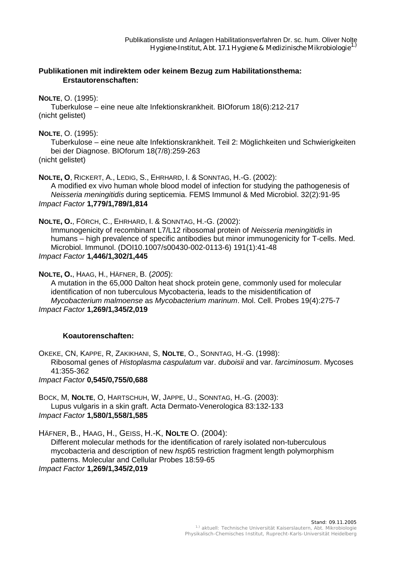### **Publikationen mit indirektem oder keinem Bezug zum Habilitationsthema: Erstautorenschaften:**

### **NOLTE**, O. (1995):

Tuberkulose – eine neue alte Infektionskrankheit. BIOforum 18(6):212-217 (nicht gelistet)

#### **NOLTE**, O. (1995):

Tuberkulose – eine neue alte Infektionskrankheit. Teil 2: Möglichkeiten und Schwierigkeiten bei der Diagnose. BIOforum 18(7/8):259-263 (nicht gelistet)

**NOLTE, O**, RICKERT, A., LEDIG, S., EHRHARD, I. & SONNTAG, H.-G. (2002): A modified ex vivo human whole blood model of infection for studying the pathogenesis of *Neisseria meningitidis* during septicemia. FEMS Immunol & Med Microbiol. 32(2):91-95 *Impact Factor* **1,779/1,789/1,814**

#### **NOLTE, O.**, FÖRCH, C., EHRHARD, I. & SONNTAG, H.-G. (2002):

Immunogenicity of recombinant L7/L12 ribosomal protein of *Neisseria meningitidis* in humans – high prevalence of specific antibodies but minor immunogenicity for T-cells. Med. Microbiol. Immunol. (DOI10.1007/s00430-002-0113-6) 191(1):41-48 *Impact Factor* **1,446/1,302/1,445**

**NOLTE, O.**, HAAG, H., HÄFNER, B. (*2005*):

A mutation in the 65,000 Dalton heat shock protein gene, commonly used for molecular identification of non tuberculous Mycobacteria, leads to the misidentification of *Mycobacterium malmoense* as *Mycobacterium marinum*. Mol. Cell. Probes 19(4):275-7 *Impact Factor* **1,269/1,345/2,019**

## **Koautorenschaften:**

OKEKE, CN, KAPPE, R, ZAKIKHANI, S, **NOLTE**, O., SONNTAG, H.-G. (1998): Ribosomal genes of *Histoplasma caspulatum* var. *duboisii* and var. *farciminosum*. Mycoses 41:355-362

*Impact Factor* **0,545/0,755/0,688**

BOCK, M, **NOLTE**, O, HARTSCHUH, W, JAPPE, U., SONNTAG, H.-G. (2003): Lupus vulgaris in a skin graft. Acta Dermato-Venerologica 83:132-133 *Impact Factor* **1,580/1,558/1,585**

HÄFNER, B., HAAG, H., GEISS, H.-K, **NOLTE** O. (2004):

Different molecular methods for the identification of rarely isolated non-tuberculous mycobacteria and description of new *hsp*65 restriction fragment length polymorphism patterns. Molecular and Cellular Probes 18:59-65

*Impact Factor* **1,269/1,345/2,019**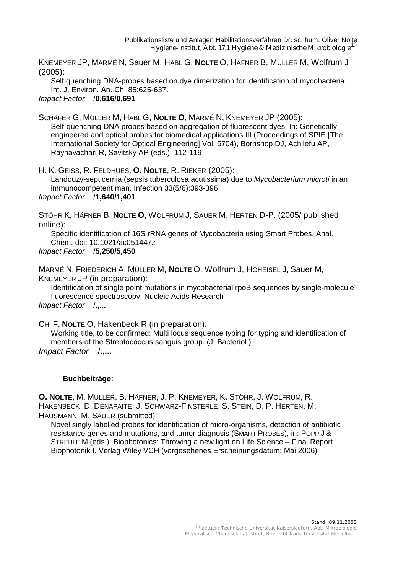KNEMEYER JP, MARMÉ N, Sauer M, HABL G, **NOLTE** O, HÄFNER B, MÜLLER M, Wolfrum J (2005):

Self quenching DNA-probes based on dye dimerization for identification of mycobacteria. Int. J. Environ. An. Ch. 85:625-637.

*Impact Factor* /**0,616/0,691**

SCHÄFER G, MÜLLER M, HABL G, **NOLTE O**, MARMÉ N, KNEMEYER JP (2005): Self-quenching DNA probes based on aggregation of fluorescent dyes. In: Genetically engineered and optical probes for biomedical applications III (Proceedings of SPIE [The International Society for Optical Engineering] Vol. 5704), Bornshop DJ, Achilefu AP, Rayhavachari R, Savitsky AP (eds.): 112-119

H. K. GEISS, R. FELDHUES, **O. NOLTE**, R. RIEKER (2005): Landouzy-septicemia (sepsis tuberculosa acutissima) due to *Mycobacterium microti* in an immunocompetent man. Infection 33(5/6):393-396 *Impact Factor* /**1,640/1,401**

STÖHR K, HÄFNER B, **NOLTE O**, WOLFRUM J, SAUER M, HERTEN D-P. (2005/ published online):

Specific identification of 16S rRNA genes of Mycobacteria using Smart Probes. Anal. Chem. doi: 10.1021/ac051447z

*Impact Factor* /**5,250/5,450**

MARMÉ N, FRIEDERICH A, MÜLLER M, **NOLTE** O, Wolfrum J, HOHEISEL J, Sauer M, KNEMEYER JP (in preparation):

Identification of single point mutations in mycobacterial rpoB sequences by single-molecule fluorescence spectroscopy. Nucleic Acids Research *Impact Factor* /**.,...**

CHI F, **NOLTE** O, Hakenbeck R (in preparation):

Working title, to be confirmed: Multi locus sequence typing for typing and identification of members of the Streptococcus sanguis group. (J. Bacteriol.) *Impact Factor* /**.,...**

## **Buchbeiträge:**

**O. NOLTE**, M. MÜLLER, B. HÄFNER, J. P. KNEMEYER, K. STÖHR, J. WOLFRUM, R. HAKENBECK, D. DENAPAITE, J. SCHWARZ-FINSTERLE, S. STEIN, D. P. HERTEN, M. HAUSMANN, M. SAUER (submitted):

Novel singly labelled probes for identification of micro-organisms, detection of antibiotic resistance genes and mutations, and tumor diagnosis (SMART PROBES), in: POPP J & STREHLE M (eds.): Biophotonics: Throwing a new light on Life Science – Final Report Biophotonik I. Verlag Wiley VCH (vorgesehenes Erscheinungsdatum: Mai 2006)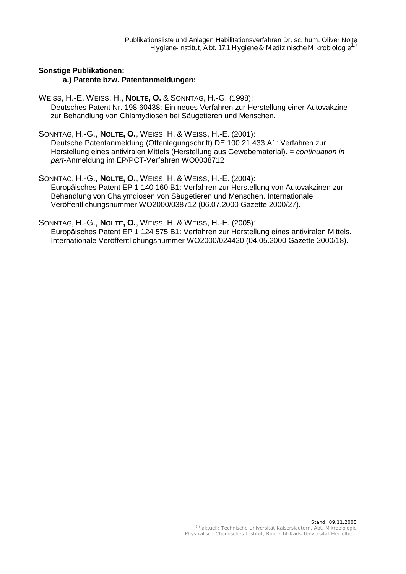# **Sonstige Publikationen:**

### **a.) Patente bzw. Patentanmeldungen:**

WEISS, H.-E, WEISS, H., **NOLTE, O.** & SONNTAG, H.-G. (1998): Deutsches Patent Nr. 198 60438: Ein neues Verfahren zur Herstellung einer Autovakzine zur Behandlung von Chlamydiosen bei Säugetieren und Menschen.

SONNTAG, H.-G., **NOLTE, O.**, WEISS, H. & WEISS, H.-E. (2001):

Deutsche Patentanmeldung (Offenlegungschrift) DE 100 21 433 A1: Verfahren zur Herstellung eines antiviralen Mittels (Herstellung aus Gewebematerial). = *continuation in part*-Anmeldung im EP/PCT-Verfahren WO0038712

SONNTAG, H.-G., **NOLTE, O.**, WEISS, H. & WEISS, H.-E. (2004): Europäisches Patent EP 1 140 160 B1: Verfahren zur Herstellung von Autovakzinen zur Behandlung von Chalymdiosen von Säugetieren und Menschen. Internationale Veröffentlichungsnummer WO2000/038712 (06.07.2000 Gazette 2000/27).

SONNTAG, H.-G., **NOLTE, O.**, WEISS, H. & WEISS, H.-E. (2005):

Europäisches Patent EP 1 124 575 B1: Verfahren zur Herstellung eines antiviralen Mittels. Internationale Veröffentlichungsnummer WO2000/024420 (04.05.2000 Gazette 2000/18).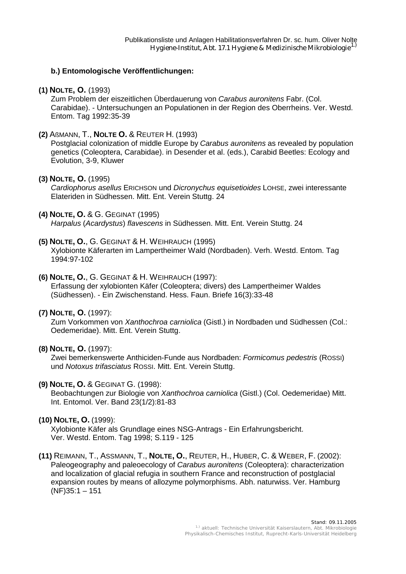## **b.) Entomologische Veröffentlichungen:**

# **(1) NOLTE, O.** (1993)

Zum Problem der eiszeitlichen Überdauerung von *Carabus auronitens* Fabr. (Col. Carabidae). - Untersuchungen an Populationen in der Region des Oberrheins. Ver. Westd. Entom. Tag 1992:35-39

**(2)** AßMANN, T., **NOLTE O.** & REUTER H. (1993)

Postglacial colonization of middle Europe by *Carabus auronitens* as revealed by population genetics (Coleoptera, Carabidae). in Desender et al. (eds.), Carabid Beetles: Ecology and Evolution, 3-9, Kluwer

# **(3) NOLTE, O.** (1995)

*Cardiophorus asellus* ERICHSON und *Dicronychus equisetioides* LOHSE, zwei interessante Elateriden in Südhessen. Mitt. Ent. Verein Stuttg. 24

# **(4) NOLTE, O.** & G. GEGINAT (1995)

*Harpalus* (*Acardystus*) *flavescens* in Südhessen. Mitt. Ent. Verein Stuttg. 24

# **(5) NOLTE, O.**, G. GEGINAT & H. WEIHRAUCH (1995)

Xylobionte Käferarten im Lampertheimer Wald (Nordbaden). Verh. Westd. Entom. Tag 1994:97-102

# **(6) NOLTE, O.**, G. GEGINAT & H. WEIHRAUCH (1997):

Erfassung der xylobionten Käfer (Coleoptera; divers) des Lampertheimer Waldes (Südhessen). - Ein Zwischenstand. Hess. Faun. Briefe 16(3):33-48

## **(7) NOLTE, O.** (1997):

Zum Vorkommen von *Xanthochroa carniolica* (Gistl.) in Nordbaden und Südhessen (Col.: Oedemeridae). Mitt. Ent. Verein Stuttg.

# **(8) NOLTE, O.** (1997):

Zwei bemerkenswerte Anthiciden-Funde aus Nordbaden: *Formicomus pedestris* (ROSSI) und *Notoxus trifasciatus* ROSSI. Mitt. Ent. Verein Stuttg.

# **(9) NOLTE, O.** & GEGINAT G. (1998):

Beobachtungen zur Biologie von *Xanthochroa carniolica* (Gistl.) (Col. Oedemeridae) Mitt. Int. Entomol. Ver. Band 23(1/2):81-83

## **(10) NOLTE, O.** (1999):

Xylobionte Käfer als Grundlage eines NSG-Antrags - Ein Erfahrungsbericht. Ver. Westd. Entom. Tag 1998; S.119 - 125

**(11)** REIMANN, T., ASSMANN, T., **NOLTE, O.**, REUTER, H., HUBER, C. & WEBER, F. (2002): Paleogeography and paleoecology of *Carabus auronitens* (Coleoptera): characterization and localization of glacial refugia in southern France and reconstruction of postglacial expansion routes by means of allozyme polymorphisms. Abh. naturwiss. Ver. Hamburg (NF)35:1 – 151